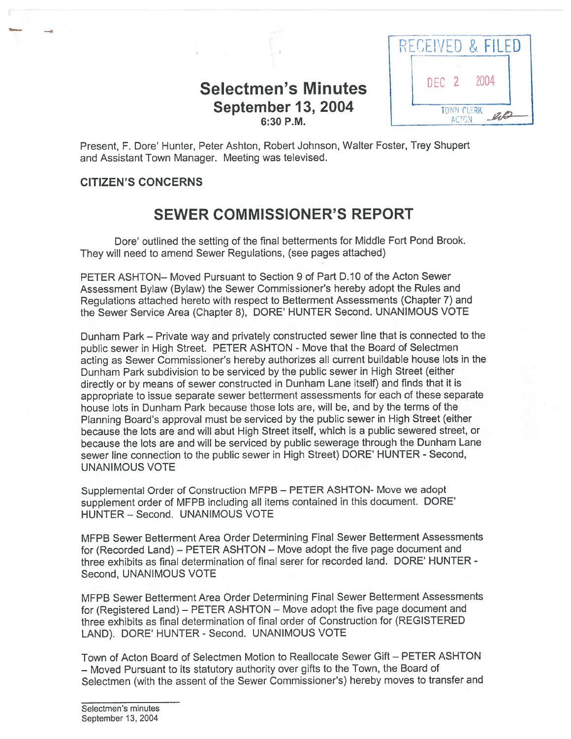## Selectmen's Minutes  $\left| \right|$  DEC 2 2004 September 13, 2004



Present, F. Dore' Hunter, Peter Ashton, Robert Johnson, Walter Foster, Trey Shupert and Assistant Town Manager. Meeting was televised.

## CITIZEN'S CONCERNS

## SEWER COMMISSIONER'S REPORT

Dote' outlined the setting of the final betterments for Middle Fort Pond Brook. They will need to amend Sewer Regulations, (see pages attached)

PETER ASHTON— Moved Pursuant to Section 9 of Part D. 10 of the Acton Sewer Assessment Bylaw (Bylaw) the Sewer Commissioner's hereby adopt the Rules and Regulations attached hereto with respec<sup>t</sup> to Betterment Assessments (Chapter 7) and the Sewer Service Area (Chapter 8), DORE' HUNTER Second. UNANIMOUS VOTE

Dunham Park — Private way and privately constructed sewer line that is connected to the public sewer in High Street. PETER ASHTON - Move that the Board of Selectmen acting as Sewer Commissioner's hereby authorizes all current buildable house lots in the Dunham Park subdivision to be serviced by the public sewer in High Street (either directly or by means of sewer constructed in Dunham Lane itself) and finds that it is appropriate to issue separate sewer betterment assessments for each of these separate house lots in Dunham Park because those lots are, will be, and by the terms of the Planning Board's approva<sup>l</sup> must be serviced by the public sewer in High Street (either because the lots are and will abut High Street itself, which is <sup>a</sup> public sewered street, or because the lots are and will be serviced by public sewerage through the Dunham Lane sewer line connection to the public sewer in High Street) DORE' HUNTER - Second, UNANIMOUS VOTE

Supplemental Order of Construction MFPB — PETER ASHTON- Move we adopt supplement order of MFPB including all items contained in this document. DORE' HUNTER — Second. UNANIMOUS VOTE

MFPB Sewer Betterment Area Order Determining Final Sewer Betterment Assessments for (Recorded Land) — PETER ASHTON — Move adopt the five page document and three exhibits as final determination of final serer for recorded land. DORE' HUNTER - Second, UNANIMOUS VOTE

MFPB Sewer Betterment Area Order Determining Final Sewer Betterment Assessments for (Registered Land) — PETER ASHTON — Move adopt the five page document and three exhibits as final determination of final order of Construction for (REGISTERED LAND). DORE' HUNTER - Second. UNANIMOUS VOTE

Town of Acton Board of Selectmen Motion to Reallocate Sewer Gift — PETER ASHTON — Moved Pursuant to its statutory authority over <sup>g</sup>ifts to the Town, the Board of Selectmen (with the assent of the Sewer Commissioner's) hereby moves to transfer and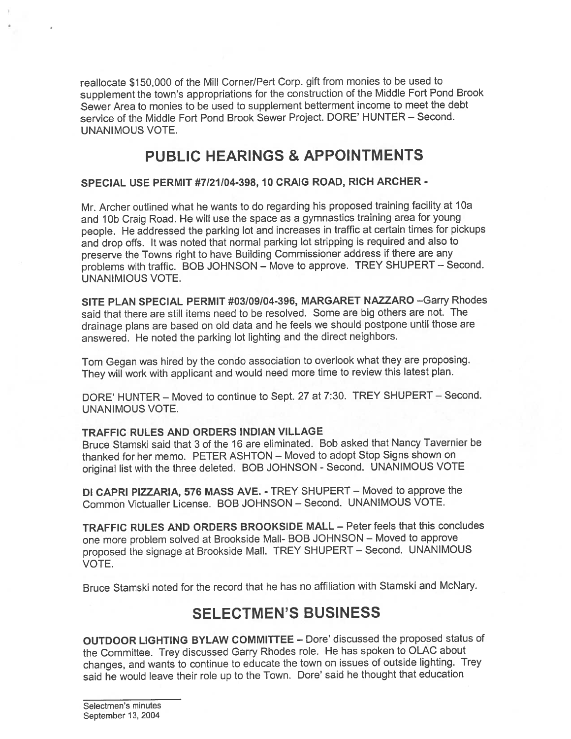reallocate \$150,000 of the Mill Corner/Pert Corp. <sup>g</sup>ift from monies to be used to supplement the town's appropriations for the construction of the Middle Fort Pond Brook Sewer Area to monies to be used to supplement betterment income to meet the debt service of the Middle Fort Pond Brook Sewer Project. DORE' HUNTER — Second. UNANIMOUS VOTE.

## PUBLIC HEARINGS & APPOiNTMENTS

## SPECIAL USE PERMIT #7/21/04-398, 10 CRAIG ROAD, RICH ARCHER -

Mr. Archer outlined what he wants to do regarding his proposed training facility at 10a and 1Db Craig Road. He will use the space as <sup>a</sup> gymnastics training area for young people. He addressed the parking lot and increases in traffic at certain times for <sup>p</sup>ickups and drop offs. It was noted that normal parking lot stripping is required and also to preserve the Towns right to have Building Commissioner address if there are any problems with traffic. BOB JOHNSON — Move to approve. TREY SHUPERT — Second. UNANIMIOUS VOTE.

SITE PLAN SPECIAL PERMIT #03/09/04-396, MARGARET NAZZARO —Garry Rhodes said that there are still items need to be resolved. Some are big others are not. The drainage <sup>p</sup>lans are based on old data and he feels we should postpone until those are answered. He noted the parking lot lighting and the direct neighbors.

Tom Gegan was hired by the condo association to overlook what they are proposing. They will work with applicant and would need more time to review this latest plan.

DORE' HUNTER - Moved to continue to Sept. 27 at 7:30. TREY SHUPERT - Second. UNANIMOUS VOTE.

## TRAFFIC RULES AND ORDERS INDIAN VILLAGE

Bruce Stamski said that 3 of the 16 are eliminated. Bob asked that Nancy Tavernier be thanked for her memo. PETER ASHTON — Moved to adopt Stop Signs shown on original list with the three deleted. BOB JOHNSON - Second. UNANIMOUS VOTE

DI CAPRI PIZZARIA, 576 MASS AVE. - TREY SHUPERT — Moved to approve the Common Victualler License. BOB JOHNSON — Second. UNANIMOUS VOTE.

TRAFFIC RULES AND ORDERS BROOKSIDE MALL — Peter feels that this concludes one more problem solved at Brookside Mall- BOB JOHNSON — Moved to approve propose<sup>d</sup> the signage at Brookside Mall. TREY SHUPERT — Second. UNANIMOUS VOTE.

Bruce Stamski noted for the record that he has no affiliation with Stamski and McNary.

## SELECTMEN'S BUSINESS

OUTDOOR LIGHTING BYLAW COMMITTEE — Dore' discussed the proposed status of the Committee. Trey discussed Garry Rhodes role. He has spoken to OLAC about changes, and wants to continue to educate the town on issues of outside lighting. Trey said he would leave their role up to the Town. Dote' said he thought that education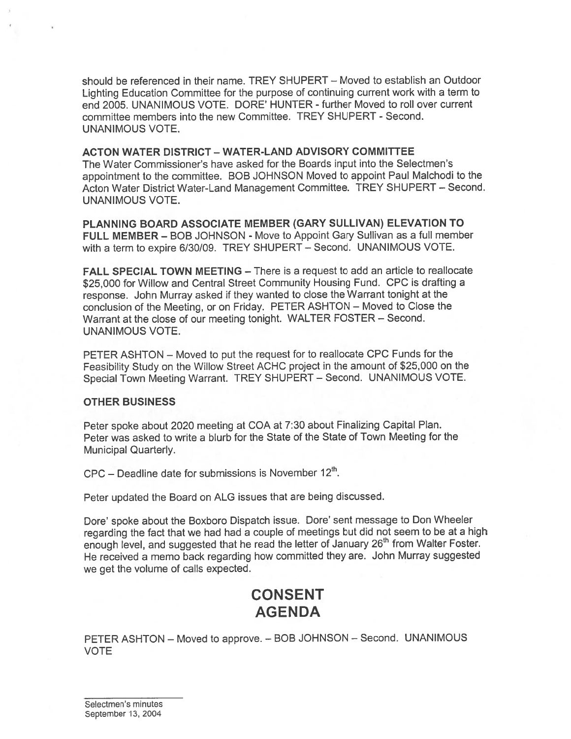should be referenced in their name. TREY SHUPERT — Moved to establish an Outdoor Lighting Education Committee for the purpose of continuing current work with <sup>a</sup> term to end 2005. UNANIMOUS VOTE. DORE' HUNTER - further Moved to roll over current committee members into the new Committee. TREY SHUPERT - Second. UNANIMOUS VOTE.

#### ACTON WATER DISTRICT - WATER-LAND ADVISORY COMMITTEE

The Water Commissioner's have asked for the Boards input into the Selectmen's appointment to the committee. BOB JOHNSON Moved to appoint Paul Maichodi to the Acton Water District Water-Land Management Committee. TREY SHUPERT — Second. UNANIMOUS VOTE.

PLANNING BOARD ASSOCIATE MEMBER (GARY SULLIVAN) ELEVATION TO FULL MEMBER — BOB JOHNSON - Move to Appoint Gary Sullivan as <sup>a</sup> full member with <sup>a</sup> term to expire 6/30/09. TREY SHUPERT — Second. UNANIMOUS VOTE.

FALL SPECIAL TOWN MEETING — There is <sup>a</sup> reques<sup>t</sup> to add an article to reallocate \$25,000 for Willow and Central Street Community Housing Fund. CPC is drafting a response. John Murray asked if they wanted to close the Warrant tonight at the conclusion of the Meeting, or on Friday. PETER ASHTON — Moved to Close the Warrant at the close of our meeting tonight. WALTER FOSTER — Second. UNANIMOUS VOTE.

PETER ASHTON — Moved to pu<sup>t</sup> the reques<sup>t</sup> for to reallocate CPC Funds for the Feasibility Study on the Willow Street ACHC project in the amount of \$25,000 on the Special Town Meeting Warrant. TREY SHUPERT — Second. UNANIMOUS VOTE.

#### OTHER BUSINESS

Peter spoke about <sup>2020</sup> meeting at COA at 7:30 about Finalizing Capital Plan. Peter was asked to write <sup>a</sup> blurb for the State of the State of Town Meeting for the Municipal Quarterly.

 $CPC - Deadline date$  for submissions is November  $12<sup>th</sup>$ .

Peter updated the Board on ALG issues that are being discussed.

Dore' spoke about the Boxboro Dispatch issue. Dote' sent message to Don Wheeler regarding the fact that we had had <sup>a</sup> couple of meetings but did not seem to be at <sup>a</sup> high enoug<sup>h</sup> level, and suggested that he read the letter of January 26" from Walter Foster. He received <sup>a</sup> memo back regarding how committed they are. John Murray suggested we ge<sup>t</sup> the volume of calls expected.

## CONSENT AGENDA

PETER ASHTON — Moved to approve. — BOB JOHNSON — Second. UNANIMOUS VOTE

Selectmen's minutes September 13, 2004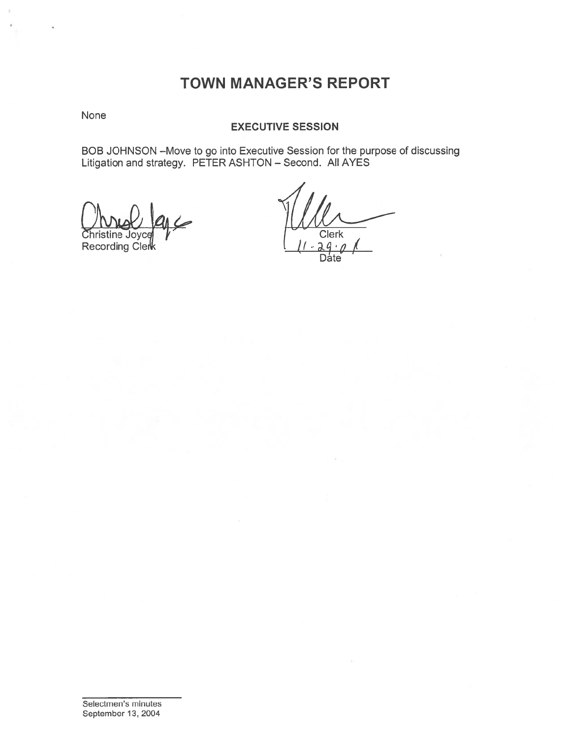## TOWN MANAGER'S REPORT

None

#### EXECUTIVE SESSION

BOB JOHNSON —Move to go into Executive Session for the purpose of discussing Litigation and strategy. PETER ASHTON — Second. All AYES

**Christine Joyce Recording Clerk** 

**Clerk**  $\frac{2q \cdot \rho}{\text{Date}}$ ı.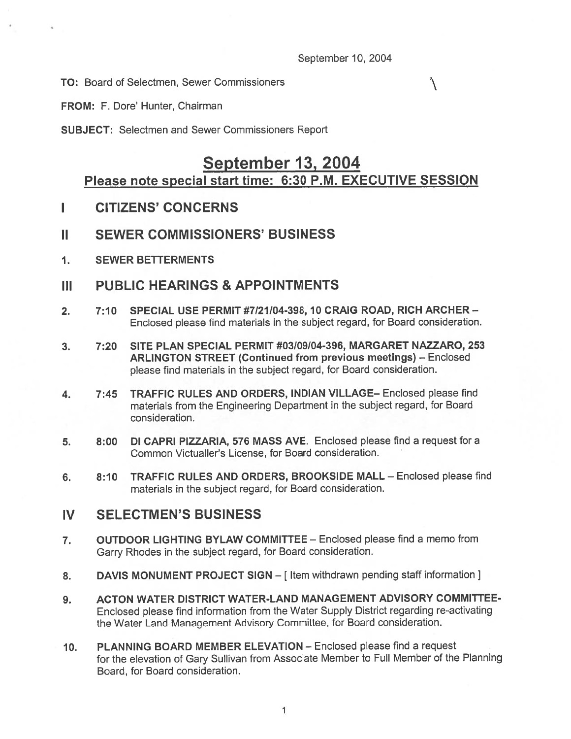#### September 10, 2004

 $\setminus$ 

TO: Board of Selectmen, Sewer Commissioners

FROM: F. Dore' Hunter, Chairman

SUBJECT: Selectmen and Sewer Commissioners Report

## September 13, 2004 Please note special start time: 6:30 P.M. EXECUTIVE SESSION

- I CITIZENS' CONCERNS
- II SEWER COMMISSIONERS' BUSINESS
- 1. SEWER BETTERMENTS

## III PUBLIC HEARINGS & APPOINTMENTS

- 2. 7:10 SPECIAL USE PERMIT #7/21/04-398,10 CRAIG ROAD, RICH ARCHER— Enclosed please find materials in the subject regard, for Board consideration.
- 3. 7:20 SITE PLAN SPECIAL PERMIT #03/09/04-396, MARGARET NAZZARO, 253 ARLINGTON STREET (Continued from previous meetings) — Enclosed <sup>p</sup>lease find materials in the subject regard, for Board consideration.
- 4. 7:45 TRAFFIC RULES AND ORDERS, INDIAN VILLAGE— Enclosed please find materials from the Engineering Department in the subject regard, for Board consideration.
- 5. 8:00 DI CAPRI PIZZARIA, 576 MASS AVE. Enclosed please find <sup>a</sup> reques<sup>t</sup> for <sup>a</sup> Common Victualler's License, for Board consideration.
- 6. 8:10 TRAFFIC RULES AND ORDERS, BROOKSIDE MALL Enclosed please find materials in the subject regard, for Board consideration.

## IV SELECTMEN'S BUSINESS

- 7. OUTDOOR LIGHTING BYLAW COMMITTEE Enclosed please find <sup>a</sup> memo from Garry Rhodes in the subject regard, for Board consideration.
- 8. DAVIS MONUMENT PROJECT SIGN [Item withdrawn pending staff information ]
- 9. ACTON WATER DISTRICT WATER-LAND MANAGEMENT ADVISORY COMMITTEE-Enclosed <sup>p</sup>lease find information from the Water Supply District regarding re-activating the Water Land Management Advisory Committee, for Board consideration.
- 10. PLANNING BOARD MEMBER ELEVATION Enclosed please find <sup>a</sup> reques<sup>t</sup> for the elevation of Gary Sullivan from Associate Member to Full Member of the Planning Board, for Board consideration.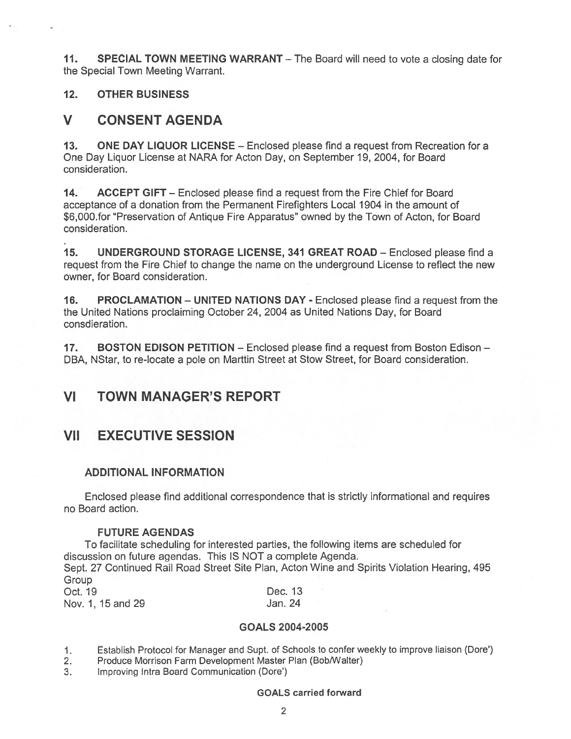11. SPECIAL TOWN MEETING WARRANT – The Board will need to vote a closing date for the Special Town Meeting Warrant.

#### 12. OTHER BUSINESS

## V CONSENT AGENDA

13. ONE DAY LIQUOR LICENSE - Enclosed please find a request from Recreation for a One Day Liquor License at NARA for Acton Day, on September 19, 2004, for Board consideration.

14. ACCEPT GIFT – Enclosed please find a request from the Fire Chief for Board acceptance of <sup>a</sup> donation from the Permanent Firefighters Local 1904 in the amount of \$6,000.for "Preservation of Antique Fire Apparatus" owned by the Town of Acton, for Board consideration.

15. UNDERGROUND STORAGE LICENSE, 341 GREAT ROAD — Enclosed <sup>p</sup>lease find <sup>a</sup> reques<sup>t</sup> from the Fire Chief to change the name on the underground License to reflect the new owner, for Board consideration.

16. PROCLAMATION — UNITED NATIONS DAY - Enclosed please find <sup>a</sup> reques<sup>t</sup> from the the United Nations proclaiming October 24, 2004 as United Nations Day, for Board consdieration.

17. BOSTON EDISON PETITION – Enclosed please find a request from Boston Edison – DBA, NStar, to re-locate <sup>a</sup> pole on Marttin Street at Stow Street, for Board consideration.

## VI TOWN MANAGER'S REPORT

## VII EXECUTIVE SESSION

## ADDITIONAL INFORMATION

Enclosed please find additional correspondence that is strictly informational and requires no Board action.

#### FUTURE AGENDAS

To facilitate scheduling for interested parties, the following items are scheduled for discussion on future agendas. This IS NOT <sup>a</sup> complete Agenda.

Sept. 27 Continued Rail Road Street Site Plan, Acton Wine and Spirits Violation Hearing, 495 **Group** 

| Oct. 19           | Dec. 13 |  |
|-------------------|---------|--|
| Nov. 1, 15 and 29 | Jan. 24 |  |

#### GOALS 2004-2005

1. Establish Protocol for Manager and Supt. of Schools to confer weekly to improve liaison (Dore')

2. Produce Morrison Farm Development Master Plan (Bob/Walter)

3. Improving Intra Board Communication (Dore')

#### GOALS carried forward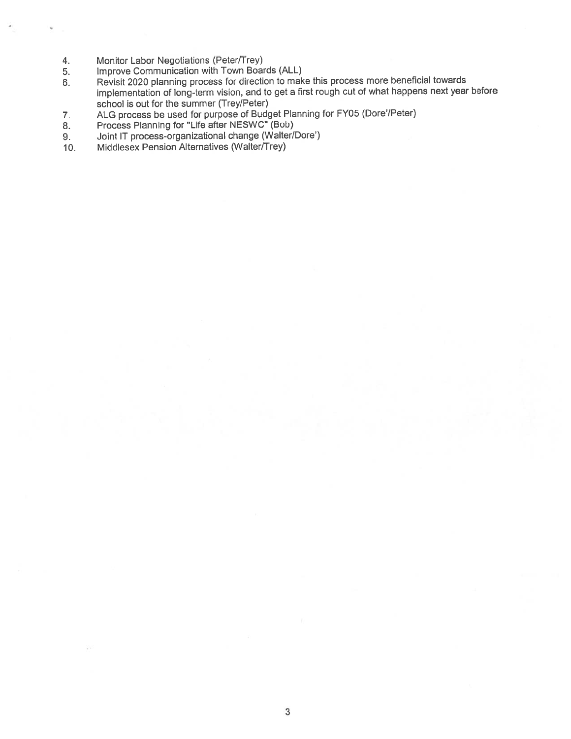- 4. Monitor Labor Negotiations (Peter/Trey)
- 
- 5. Improve Communication with Town Boards (ALL)<br>6. Revisit 2020 planning process for direction to mak Revisit 2020 planning process for direction to make this process more beneficial towards implementation of long-term vision, and to ge<sup>t</sup> <sup>a</sup> first roug<sup>h</sup> cut of what happens next year before school is out for the summer (Trey/Peter)
- 7. ALG process be used for purpose of Budget Planning for FY05 (Dore'/Peter)
- 8. Process Planning for "Life after NESWC" (Bob)
- 9. Joint IT process-organizational change (Walter/Dore')
- 10. Middlesex Pension Alternatives (Walter/Trey)